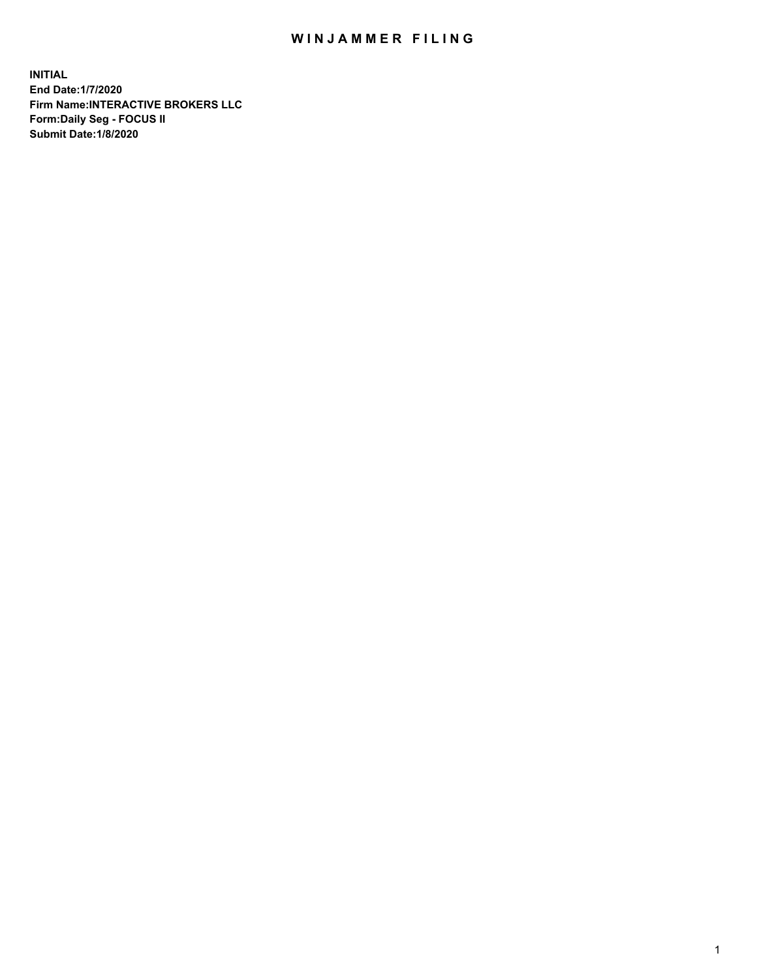## WIN JAMMER FILING

**INITIAL End Date:1/7/2020 Firm Name:INTERACTIVE BROKERS LLC Form:Daily Seg - FOCUS II Submit Date:1/8/2020**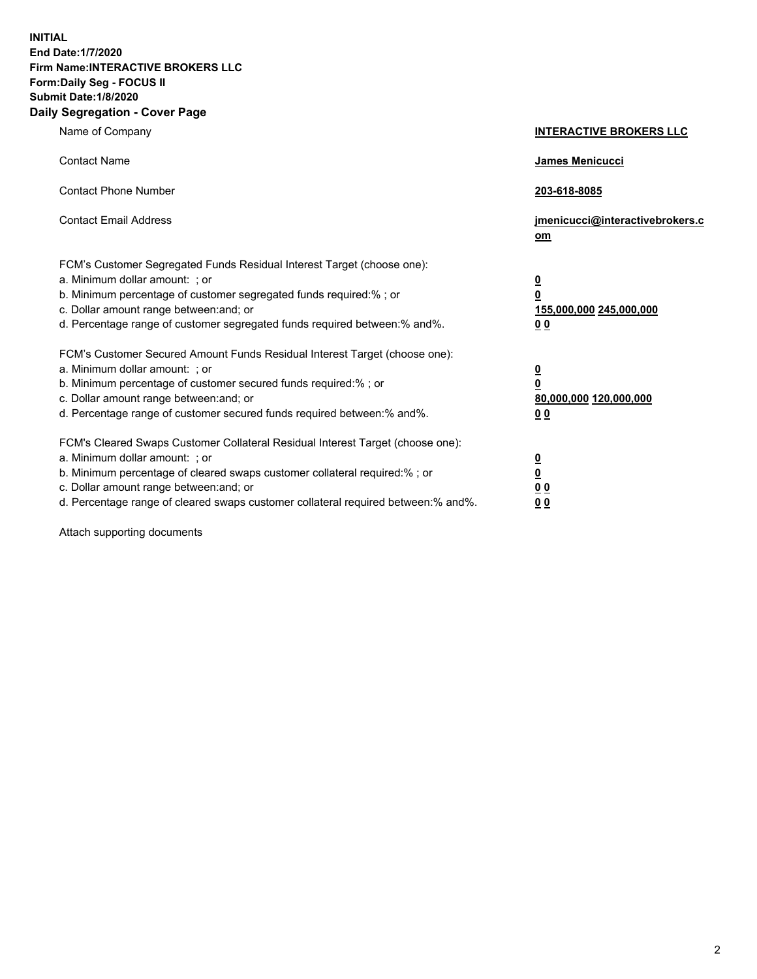**INITIAL End Date:1/7/2020 Firm Name:INTERACTIVE BROKERS LLC Form:Daily Seg - FOCUS II Submit Date:1/8/2020 Daily Segregation - Cover Page**

| Name of Company                                                                                                                                                                                                                                                                                                                | <b>INTERACTIVE BROKERS LLC</b>                                                      |
|--------------------------------------------------------------------------------------------------------------------------------------------------------------------------------------------------------------------------------------------------------------------------------------------------------------------------------|-------------------------------------------------------------------------------------|
| <b>Contact Name</b>                                                                                                                                                                                                                                                                                                            | James Menicucci                                                                     |
| <b>Contact Phone Number</b>                                                                                                                                                                                                                                                                                                    | 203-618-8085                                                                        |
| <b>Contact Email Address</b>                                                                                                                                                                                                                                                                                                   | jmenicucci@interactivebrokers.c<br>om                                               |
| FCM's Customer Segregated Funds Residual Interest Target (choose one):<br>a. Minimum dollar amount: ; or<br>b. Minimum percentage of customer segregated funds required:% ; or<br>c. Dollar amount range between: and; or<br>d. Percentage range of customer segregated funds required between:% and%.                         | $\overline{\mathbf{0}}$<br>$\overline{\mathbf{0}}$<br>155,000,000 245,000,000<br>00 |
| FCM's Customer Secured Amount Funds Residual Interest Target (choose one):<br>a. Minimum dollar amount: ; or<br>b. Minimum percentage of customer secured funds required:% ; or<br>c. Dollar amount range between: and; or<br>d. Percentage range of customer secured funds required between:% and%.                           | $\overline{\mathbf{0}}$<br>$\pmb{0}$<br>80,000,000 120,000,000<br>00                |
| FCM's Cleared Swaps Customer Collateral Residual Interest Target (choose one):<br>a. Minimum dollar amount: ; or<br>b. Minimum percentage of cleared swaps customer collateral required:% ; or<br>c. Dollar amount range between: and; or<br>d. Percentage range of cleared swaps customer collateral required between:% and%. | $\overline{\mathbf{0}}$<br>$\underline{\mathbf{0}}$<br>0 <sub>0</sub><br>00         |

Attach supporting documents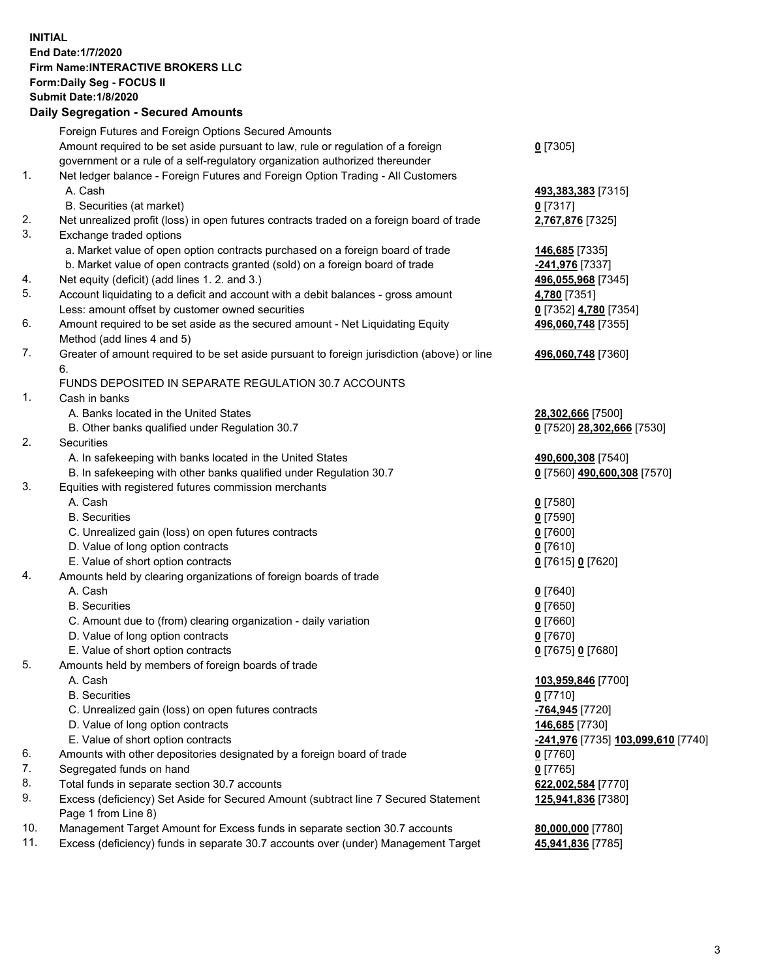## **INITIAL End Date:1/7/2020 Firm Name:INTERACTIVE BROKERS LLC Form:Daily Seg - FOCUS II Submit Date:1/8/2020 Daily Segregation - Secured Amounts**

|     | Dany Ocgregation - oceaned Amounte                                                                         |                                           |
|-----|------------------------------------------------------------------------------------------------------------|-------------------------------------------|
|     | Foreign Futures and Foreign Options Secured Amounts                                                        |                                           |
|     | Amount required to be set aside pursuant to law, rule or regulation of a foreign                           | $0$ [7305]                                |
|     | government or a rule of a self-regulatory organization authorized thereunder                               |                                           |
| 1.  | Net ledger balance - Foreign Futures and Foreign Option Trading - All Customers                            |                                           |
|     | A. Cash                                                                                                    | 493,383,383 [7315]                        |
|     | B. Securities (at market)                                                                                  | $0$ [7317]                                |
| 2.  | Net unrealized profit (loss) in open futures contracts traded on a foreign board of trade                  | 2,767,876 [7325]                          |
| 3.  | Exchange traded options                                                                                    |                                           |
|     | a. Market value of open option contracts purchased on a foreign board of trade                             | 146,685 [7335]                            |
|     | b. Market value of open contracts granted (sold) on a foreign board of trade                               | -241,976 [7337]                           |
| 4.  | Net equity (deficit) (add lines 1. 2. and 3.)                                                              | 496,055,968 [7345]                        |
| 5.  | Account liquidating to a deficit and account with a debit balances - gross amount                          | 4,780 [7351]                              |
|     | Less: amount offset by customer owned securities                                                           | 0 [7352] 4,780 [7354]                     |
| 6.  | Amount required to be set aside as the secured amount - Net Liquidating Equity                             | 496,060,748 [7355]                        |
|     | Method (add lines 4 and 5)                                                                                 |                                           |
| 7.  | Greater of amount required to be set aside pursuant to foreign jurisdiction (above) or line                | 496,060,748 [7360]                        |
|     | 6.                                                                                                         |                                           |
|     | FUNDS DEPOSITED IN SEPARATE REGULATION 30.7 ACCOUNTS                                                       |                                           |
| 1.  | Cash in banks                                                                                              |                                           |
|     | A. Banks located in the United States                                                                      | 28,302,666 [7500]                         |
|     | B. Other banks qualified under Regulation 30.7                                                             | 0 [7520] 28,302,666 [7530]                |
| 2.  | Securities                                                                                                 |                                           |
|     | A. In safekeeping with banks located in the United States                                                  | 490,600,308 [7540]                        |
|     | B. In safekeeping with other banks qualified under Regulation 30.7                                         | 0 [7560] 490,600,308 [7570]               |
| 3.  | Equities with registered futures commission merchants                                                      |                                           |
|     | A. Cash                                                                                                    | $0$ [7580]                                |
|     | <b>B.</b> Securities                                                                                       | $0$ [7590]                                |
|     | C. Unrealized gain (loss) on open futures contracts                                                        | $0$ [7600]                                |
|     | D. Value of long option contracts                                                                          | $0$ [7610]                                |
|     | E. Value of short option contracts                                                                         | 0 [7615] 0 [7620]                         |
| 4.  | Amounts held by clearing organizations of foreign boards of trade                                          |                                           |
|     | A. Cash                                                                                                    | $0$ [7640]                                |
|     | <b>B.</b> Securities                                                                                       | $0$ [7650]                                |
|     | C. Amount due to (from) clearing organization - daily variation                                            | $0$ [7660]                                |
|     | D. Value of long option contracts                                                                          | $0$ [7670]                                |
|     | E. Value of short option contracts                                                                         | 0 [7675] 0 [7680]                         |
| 5.  | Amounts held by members of foreign boards of trade                                                         |                                           |
|     | A. Cash                                                                                                    | 103,959,846 [7700]                        |
|     | <b>B.</b> Securities                                                                                       | $0$ [7710]                                |
|     | C. Unrealized gain (loss) on open futures contracts                                                        | -764,945 [7720]                           |
|     | D. Value of long option contracts                                                                          | 146,685 [7730]                            |
|     | E. Value of short option contracts                                                                         | <u>-241,976</u> [7735] 103,099,610 [7740] |
| 6.  | Amounts with other depositories designated by a foreign board of trade                                     | 0 [7760]                                  |
| 7.  | Segregated funds on hand                                                                                   | $0$ [7765]                                |
| 8.  | Total funds in separate section 30.7 accounts                                                              | 622,002,584 [7770]                        |
| 9.  | Excess (deficiency) Set Aside for Secured Amount (subtract line 7 Secured Statement<br>Page 1 from Line 8) | 125,941,836 [7380]                        |
| 10. | Management Target Amount for Excess funds in separate section 30.7 accounts                                | 80,000,000 [7780]                         |
| 11. | Excess (deficiency) funds in separate 30.7 accounts over (under) Management Target                         | 45,941,836 [7785]                         |
|     |                                                                                                            |                                           |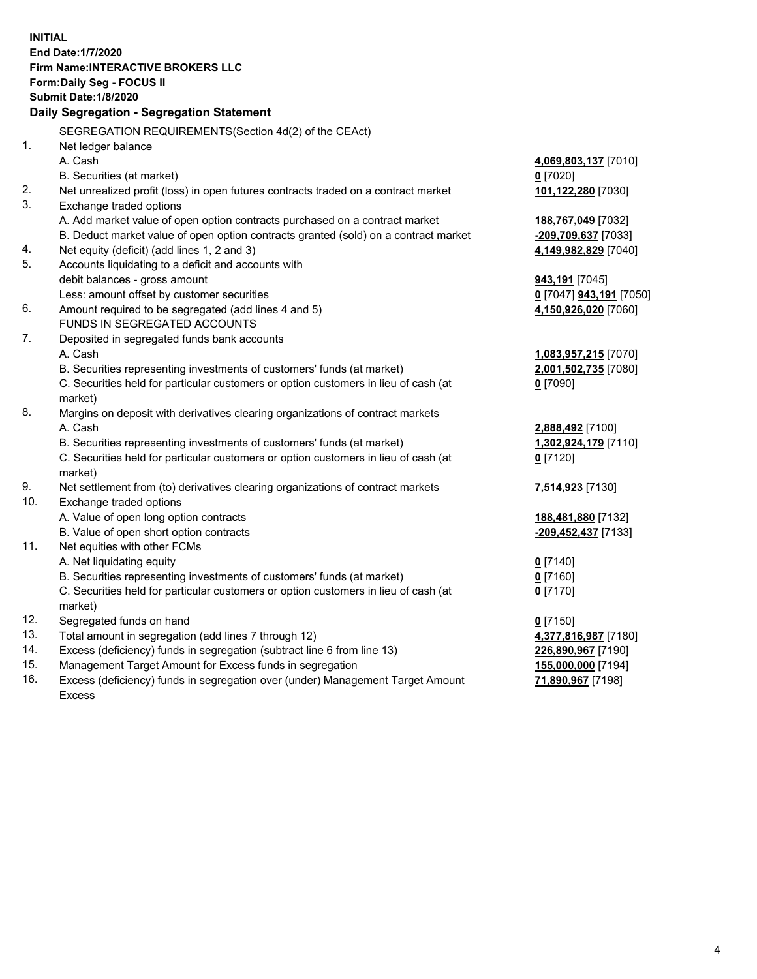**INITIAL End Date:1/7/2020 Firm Name:INTERACTIVE BROKERS LLC Form:Daily Seg - FOCUS II Submit Date:1/8/2020 Daily Segregation - Segregation Statement** SEGREGATION REQUIREMENTS(Section 4d(2) of the CEAct) 1. Net ledger balance A. Cash **4,069,803,137** [7010] B. Securities (at market) **0** [7020] 2. Net unrealized profit (loss) in open futures contracts traded on a contract market **101,122,280** [7030] 3. Exchange traded options A. Add market value of open option contracts purchased on a contract market **188,767,049** [7032] B. Deduct market value of open option contracts granted (sold) on a contract market **-209,709,637** [7033] 4. Net equity (deficit) (add lines 1, 2 and 3) **4,149,982,829** [7040] 5. Accounts liquidating to a deficit and accounts with debit balances - gross amount **943,191** [7045] Less: amount offset by customer securities **0** [7047] **943,191** [7050] 6. Amount required to be segregated (add lines 4 and 5) **4,150,926,020** [7060] FUNDS IN SEGREGATED ACCOUNTS 7. Deposited in segregated funds bank accounts A. Cash **1,083,957,215** [7070] B. Securities representing investments of customers' funds (at market) **2,001,502,735** [7080] C. Securities held for particular customers or option customers in lieu of cash (at market) **0** [7090] 8. Margins on deposit with derivatives clearing organizations of contract markets A. Cash **2,888,492** [7100] B. Securities representing investments of customers' funds (at market) **1,302,924,179** [7110] C. Securities held for particular customers or option customers in lieu of cash (at market) **0** [7120] 9. Net settlement from (to) derivatives clearing organizations of contract markets **7,514,923** [7130] 10. Exchange traded options A. Value of open long option contracts **188,481,880** [7132] B. Value of open short option contracts **-209,452,437** [7133] 11. Net equities with other FCMs A. Net liquidating equity **0** [7140] B. Securities representing investments of customers' funds (at market) **0** [7160] C. Securities held for particular customers or option customers in lieu of cash (at market) **0** [7170] 12. Segregated funds on hand **0** [7150] 13. Total amount in segregation (add lines 7 through 12) **4,377,816,987** [7180] 14. Excess (deficiency) funds in segregation (subtract line 6 from line 13) **226,890,967** [7190] 15. Management Target Amount for Excess funds in segregation **155,000,000** [7194] **71,890,967** [7198]

16. Excess (deficiency) funds in segregation over (under) Management Target Amount Excess